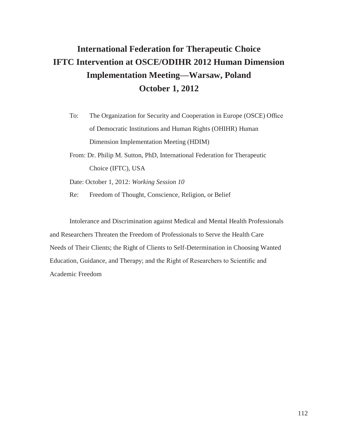# **International Federation for Therapeutic Choice IFTC Intervention at OSCE/ODIHR 2012 Human Dimension Implementation Meeting—Warsaw, Poland October 1, 2012**

- To: The Organization for Security and Cooperation in Europe (OSCE) Office of Democratic Institutions and Human Rights (OHIHR) Human Dimension Implementation Meeting (HDIM)
- From: Dr. Philip M. Sutton, PhD, International Federation for Therapeutic Choice (IFTC), USA

Date: October 1, 2012: *Working Session 10*

Re: Freedom of Thought, Conscience, Religion, or Belief

Intolerance and Discrimination against Medical and Mental Health Professionals and Researchers Threaten the Freedom of Professionals to Serve the Health Care Needs of Their Clients; the Right of Clients to Self-Determination in Choosing Wanted Education, Guidance, and Therapy; and the Right of Researchers to Scientific and Academic Freedom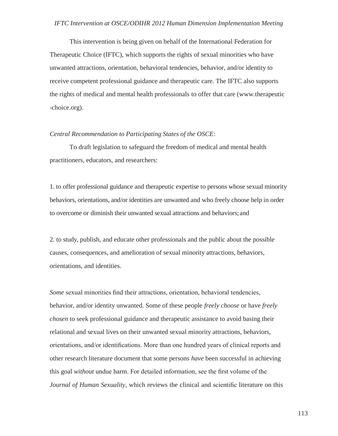This intervention is being given on behalf of the International Federation for Therapeutic Choice (IFTC), which supports the rights of sexual minorities who have unwanted attractions, orientation, behavioral tendencies, behavior, and/or identity to receive competent professional guidance and therapeutic care. The IFTC also supports the rights of medical and mental health professionals to offer that care (www.therapeutic -choice.org).

### *Central Recommendation to Participating States of the OSCE*:

To draft legislation to safeguard the freedom of medical and mental health practitioners, educators, and researchers:

1. to offer professional guidance and therapeutic expertise to persons whose sexual minority behaviors, orientations, and/or identities are unwanted and who freely choose help in order to overcome or diminish their unwanted sexual attractions and behaviors;and

2. to study, publish, and educate other professionals and the public about the possible causes, consequences, and amelioration of sexual minority attractions, behaviors, orientations, and identities.

*Some* sexual minorities find their attractions, orientation, behavioral tendencies, behavior, and/or identity unwanted. Some of these people *freely choose* or have *freely chosen* to seek professional guidance and therapeutic assistance to avoid basing their relational and sexual lives on their unwanted sexual minority attractions, behaviors, orientations, and/or identifications. More than one hundred years of clinical reports and other research literature document that some persons *have* been successful in achieving this goal *without* undue harm. For detailed information, see the first volume of the *Journal of Human Sexuality*, which reviews the clinical and scientific literature on this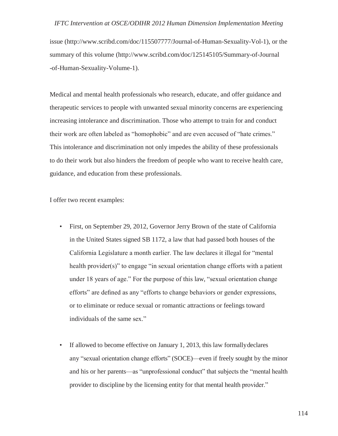issue [\(http://www.scribd.com/doc/115507777/Journal-of-Human-Sexuality-Vol-1\),](http://www.scribd.com/doc/115507777/Journal-of-Human-Sexuality-Vol-1)) or the summary of this volume [\(http://www.scribd.com/doc/125145105/Summary-of-Journal](http://www.scribd.com/doc/125145105/Summary-of-Journal) -of-Human-Sexuality-Volume-1).

Medical and mental health professionals who research, educate, and offer guidance and therapeutic services to people with unwanted sexual minority concerns are experiencing increasing intolerance and discrimination. Those who attempt to train for and conduct their work are often labeled as "homophobic" and are even accused of "hate crimes." This intolerance and discrimination not only impedes the ability of these professionals to do their work but also hinders the freedom of people who want to receive health care, guidance, and education from these professionals.

I offer two recent examples:

- First, on September 29, 2012, Governor Jerry Brown of the state of California in the United States signed SB 1172, a law that had passed both houses of the California Legislature a month earlier. The law declares it illegal for "mental health provider(s)" to engage "in sexual orientation change efforts with a patient under 18 years of age." For the purpose of this law, "sexual orientation change efforts" are defined as any "efforts to change behaviors or gender expressions, or to eliminate or reduce sexual or romantic attractions or feelings toward individuals of the same sex."
- If allowed to become effective on January 1, 2013, this law formallydeclares any "sexual orientation change efforts" (SOCE)—even if freely sought by the minor and his or her parents—as "unprofessional conduct" that subjects the "mental health provider to discipline by the licensing entity for that mental health provider."

114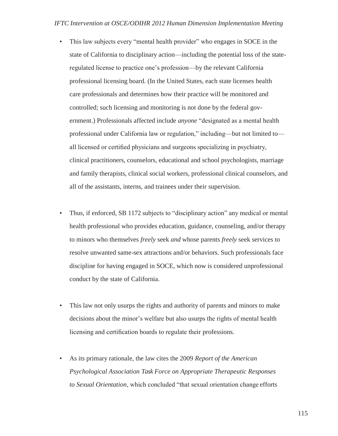- This law subjects every "mental health provider" who engages in SOCE in the state of California to disciplinary action—including the potential loss of the stateregulated license to practice one's profession—by the relevant California professional licensing board. (In the United States, each state licenses health care professionals and determines how their practice will be monitored and controlled; such licensing and monitoring is not done by the federal government.) Professionals affected include *anyone* "designated as a mental health professional under California law or regulation," including—but not limited to all licensed or certified physicians and surgeons specializing in psychiatry, clinical practitioners, counselors, educational and school psychologists, marriage and family therapists, clinical social workers, professional clinical counselors, and all of the assistants, interns, and trainees under their supervision.
- Thus, if enforced, SB 1172 subjects to "disciplinary action" any medical or mental health professional who provides education, guidance, counseling, and/or therapy to minors who themselves *freely* seek *and* whose parents *freely* seek services to resolve unwanted same-sex attractions and/or behaviors. Such professionals face discipline for having engaged in SOCE, which now is considered unprofessional conduct by the state of California.
- This law not only usurps the rights and authority of parents and minors to make decisions about the minor's welfare but also usurps the rights of mental health licensing and certification boards to regulate their professions.
- As its primary rationale, the law cites the 2009 *Report of the American Psychological Association Task Force on Appropriate Therapeutic Responses to Sexual Orientation*, which concluded "that sexual orientation change efforts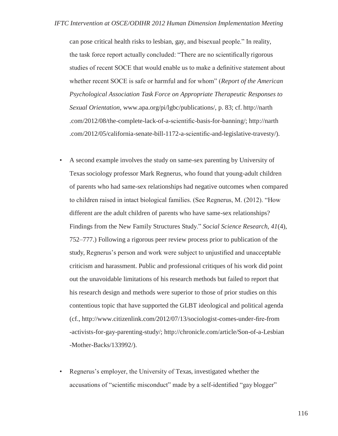can pose critical health risks to lesbian, gay, and bisexual people." In reality, the task force report actually concluded: "There are no scientifically rigorous studies of recent SOCE that would enable us to make a definitive statement about whether recent SOCE is safe or harmful and for whom" (*Report of the American Psychological Association Task Force on Appropriate Therapeutic Responses to Sexual Orientation*, [www.apa.org/pi/lgbc/publications/,](http://www.apa.org/pi/lgbc/publications/) p. 83; cf. [http://narth](http://narth/) .com/2012/08/the-complete-lack-of-a-scientific-basis-for-banning/; [http://narth](http://narth/) .com/2012/05/california-senate-bill-1172-a-scientific-and-legislative-travesty/).

- A second example involves the study on same-sex parenting by University of Texas sociology professor Mark Regnerus, who found that young-adult children of parents who had same-sex relationships had negative outcomes when compared to children raised in intact biological families. (See Regnerus, M. (2012). "How different are the adult children of parents who have same-sex relationships? Findings from the New Family Structures Study." *Social Science Research, 41*(4), 752–777.) Following a rigorous peer review process prior to publication of the study, Regnerus's person and work were subject to unjustified and unacceptable criticism and harassment. Public and professional critiques of his work did point out the unavoidable limitations of his research methods but failed to report that his research design and methods were superior to those of prior studies on this contentious topic that have supported the GLBT ideological and political agenda (cf., [http://www.citizenlink.com/2012/07/13/sociologist-comes-under-fire-from](http://www.citizenlink.com/2012/07/13/sociologist-comes-under-ﬁre-from) -activists-for-gay-parenting-study/;<http://chronicle.com/article/Son-of-a-Lesbian> -Mother-Backs/133992/).
- Regnerus's employer, the University of Texas, investigated whether the accusations of "scientific misconduct" made by a self-identified "gay blogger"
- 116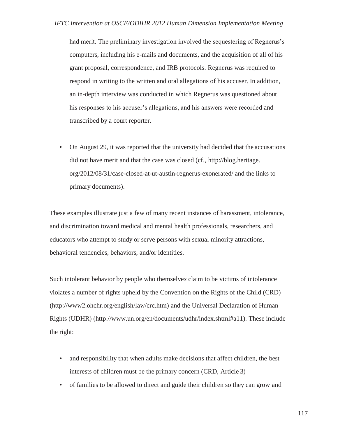had merit. The preliminary investigation involved the sequestering of Regnerus's computers, including his e-mails and documents, and the acquisition of all of his grant proposal, correspondence, and IRB protocols. Regnerus was required to respond in writing to the written and oral allegations of his accuser. In addition, an in-depth interview was conducted in which Regnerus was questioned about his responses to his accuser's allegations, and his answers were recorded and transcribed by a court reporter.

• On August 29, it was reported that the university had decided that the accusations did not have merit and that the case was closed (cf., [http://blog.heritage.](http://blog.heritage/) org/2012/08/31/case-closed-at-ut-austin-regnerus-exonerated/ and the links to primary documents).

These examples illustrate just a few of many recent instances of harassment, intolerance, and discrimination toward medical and mental health professionals, researchers, and educators who attempt to study or serve persons with sexual minority attractions, behavioral tendencies, behaviors, and/or identities.

Such intolerant behavior by people who themselve*s* claim to be victims of intolerance violates a number of rights upheld by the Convention on the Rights of the Child (CRD) [\(http://www2.ohchr.org/english/law/crc.htm\)](http://www2.ohchr.org/english/law/crc.htm)) and the Universal Declaration of Human Rights (UDHR) [\(http://www.un.org/en/documents/udhr/index.shtml#a11\). T](http://www.un.org/en/documents/udhr/index.shtml#a11))hese include the right:

- and responsibility that when adults make decisions that affect children, the best interests of children must be the primary concern (CRD, Article 3)
- of families to be allowed to direct and guide their children so they can grow and

117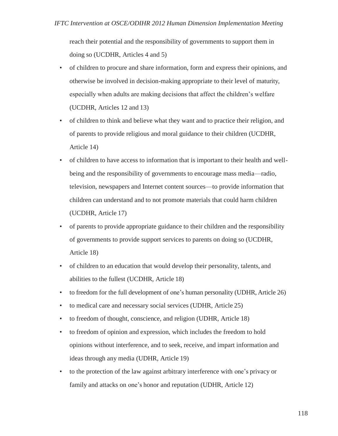reach their potential and the responsibility of governments to support them in doing so (UCDHR, Articles 4 and 5)

- of children to procure and share information, form and express their opinions, and otherwise be involved in decision-making appropriate to their level of maturity, especially when adults are making decisions that affect the children's welfare (UCDHR, Articles 12 and 13)
- of children to think and believe what they want and to practice their religion, and of parents to provide religious and moral guidance to their children (UCDHR, Article 14)
- of children to have access to information that is important to their health and wellbeing and the responsibility of governments to encourage mass media—radio, television, newspapers and Internet content sources—to provide information that children can understand and to not promote materials that could harm children (UCDHR, Article 17)
- of parents to provide appropriate guidance to their children and the responsibility of governments to provide support services to parents on doing so (UCDHR, Article 18)
- of children to an education that would develop their personality, talents, and abilities to the fullest (UCDHR, Article 18)
- to freedom for the full development of one's human personality (UDHR, Article 26)
- to medical care and necessary social services (UDHR, Article 25)
- to freedom of thought, conscience, and religion (UDHR, Article 18)
- to freedom of opinion and expression, which includes the freedom to hold opinions without interference, and to seek, receive, and impart information and ideas through any media (UDHR, Article 19)
- to the protection of the law against arbitrary interference with one's privacy or family and attacks on one's honor and reputation (UDHR, Article 12)